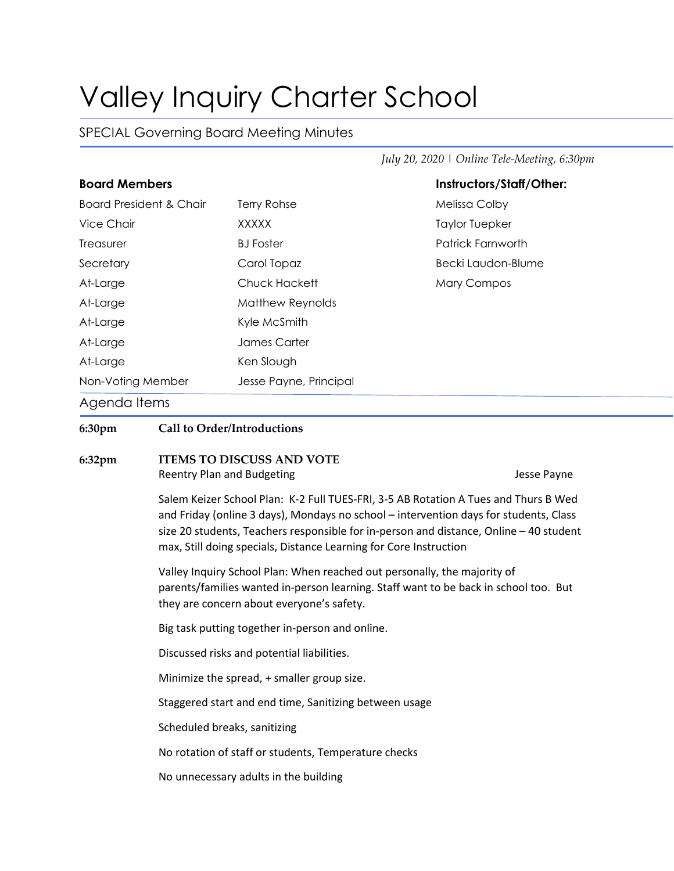# Valley Inquiry Charter School

# SPECIAL Governing Board Meeting Minutes

*July 20, 2020 | Online Tele-Meeting, 6:30pm*

| <b>Board Members</b>               |                        | Instructors/Staff/Other: |
|------------------------------------|------------------------|--------------------------|
| <b>Board President &amp; Chair</b> | Terry Rohse            | Melissa Colby            |
| Vice Chair                         | <b>XXXXX</b>           | <b>Taylor Tuepker</b>    |
| Treasurer                          | <b>BJ</b> Foster       | Patrick Farnworth        |
| Secretary                          | Carol Topaz            | Becki Laudon-Blume       |
| At-Large                           | Chuck Hackett          | <b>Mary Compos</b>       |
| At-Large                           | Matthew Reynolds       |                          |
| At-Large                           | Kyle McSmith           |                          |
| At-Large                           | James Carter           |                          |
| At-Large                           | Ken Slough             |                          |
| Non-Voting Member                  | Jesse Payne, Principal |                          |
| $\lambda$ and all space            |                        |                          |

# Agenda Items

# **6:30pm Call to Order/Introductions**

# **6:32pm ITEMS TO DISCUSS AND VOTE** Reentry Plan and Budgeting and Subsettion Control of the Second Lesse Payne

Salem Keizer School Plan: K-2 Full TUES-FRI, 3-5 AB Rotation A Tues and Thurs B Wed and Friday (online 3 days), Mondays no school – intervention days for students, Class size 20 students, Teachers responsible for in-person and distance, Online – 40 student max, Still doing specials, Distance Learning for Core Instruction

Valley Inquiry School Plan: When reached out personally, the majority of parents/families wanted in-person learning. Staff want to be back in school too. But they are concern about everyone's safety.

Big task putting together in-person and online.

Discussed risks and potential liabilities.

Minimize the spread, + smaller group size.

Staggered start and end time, Sanitizing between usage

Scheduled breaks, sanitizing

No rotation of staff or students, Temperature checks

No unnecessary adults in the building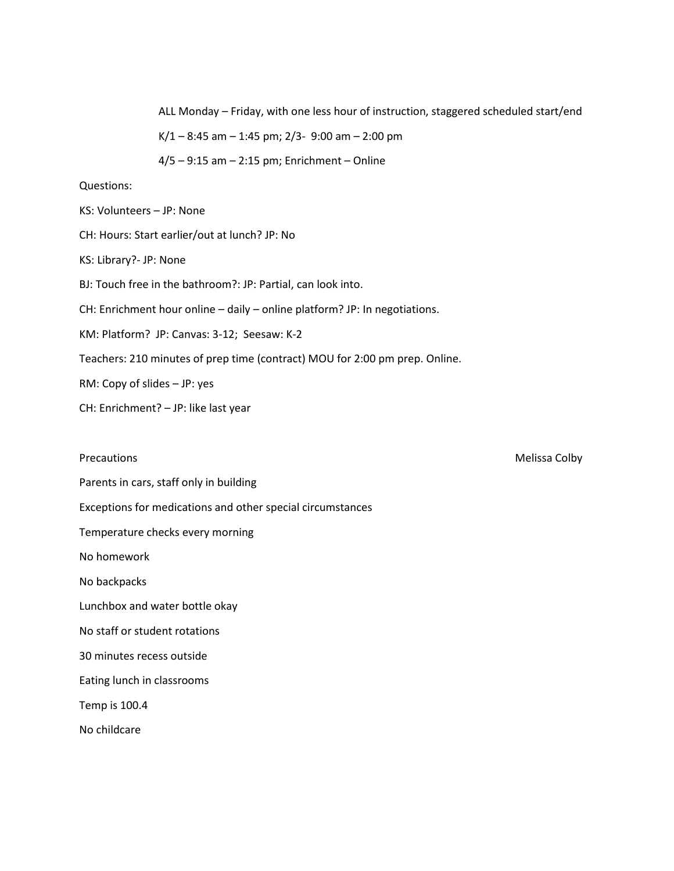ALL Monday – Friday, with one less hour of instruction, staggered scheduled start/end

 $K/1 - 8:45$  am  $- 1:45$  pm; 2/3- 9:00 am  $- 2:00$  pm

4/5 – 9:15 am – 2:15 pm; Enrichment – Online

#### Questions:

- KS: Volunteers JP: None
- CH: Hours: Start earlier/out at lunch? JP: No
- KS: Library?- JP: None
- BJ: Touch free in the bathroom?: JP: Partial, can look into.
- CH: Enrichment hour online daily online platform? JP: In negotiations.
- KM: Platform? JP: Canvas: 3-12; Seesaw: K-2
- Teachers: 210 minutes of prep time (contract) MOU for 2:00 pm prep. Online.
- RM: Copy of slides JP: yes
- CH: Enrichment? JP: like last year

Parents in cars, staff only in building

- Exceptions for medications and other special circumstances
- Temperature checks every morning
- No homework
- No backpacks
- Lunchbox and water bottle okay
- No staff or student rotations
- 30 minutes recess outside
- Eating lunch in classrooms
- Temp is 100.4
- No childcare

Precautions **Melissa Colby Precautions Melissa Colby Melissa Colby Melissa Colby Melissa Colby Melissa Colby Melissa Colby Melissa Colby Melissa Colby Melissa Colby Melissa Colby Melissa Colby Mel**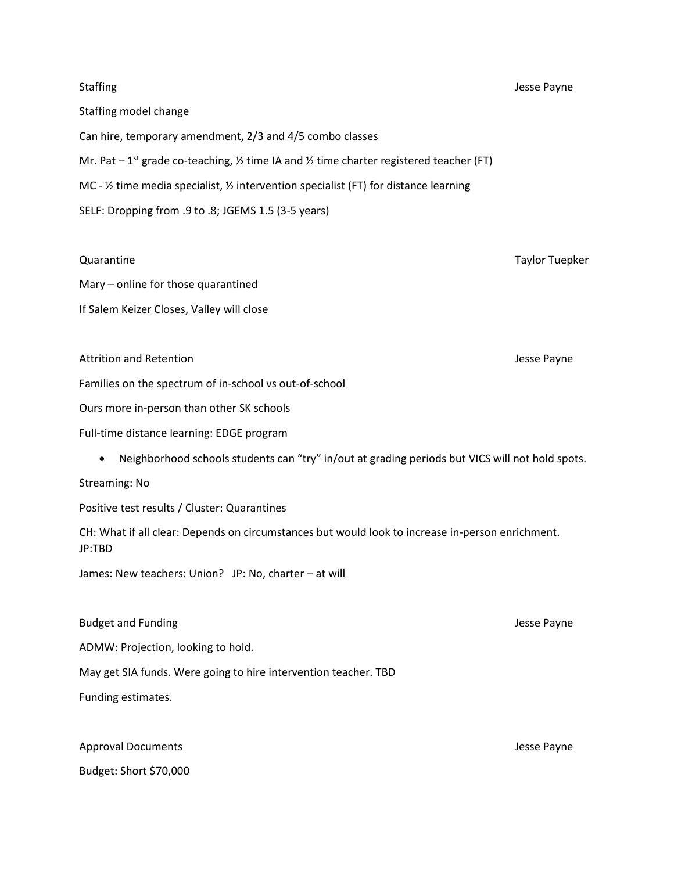| Staffing                                                                                                   | Jesse Payne |
|------------------------------------------------------------------------------------------------------------|-------------|
| Staffing model change                                                                                      |             |
| Can hire, temporary amendment, 2/3 and 4/5 combo classes                                                   |             |
| Mr. Pat – 1 <sup>st</sup> grade co-teaching, 1/2 time IA and 1/2 time charter registered teacher (FT)      |             |
| MC - $\frac{1}{2}$ time media specialist, $\frac{1}{2}$ intervention specialist (FT) for distance learning |             |
| SELF: Dropping from .9 to .8; JGEMS 1.5 (3-5 years)                                                        |             |

## Quarantine Taylor Tuepker

Mary – online for those quarantined

If Salem Keizer Closes, Valley will close

## Attrition and Retention and Retention According to the Control of the Unit of the Unit of the Unit of the Unit of the Unit of the Unit of the Unit of the Unit of the Unit of the Unit of the Unit of the Unit of the Unit of

Families on the spectrum of in-school vs out-of-school

Ours more in-person than other SK schools

Full-time distance learning: EDGE program

• Neighborhood schools students can "try" in/out at grading periods but VICS will not hold spots.

Streaming: No

Positive test results / Cluster: Quarantines

CH: What if all clear: Depends on circumstances but would look to increase in-person enrichment. JP:TBD

James: New teachers: Union? JP: No, charter – at will

Budget and Funding and The Second Second Second Second Second Second Second Second Second Second Second Second Second Second Second Second Second Second Second Second Second Second Second Second Second Second Second Second

ADMW: Projection, looking to hold.

May get SIA funds. Were going to hire intervention teacher. TBD

Funding estimates.

Approval Documents Jesse Payne

Budget: Short \$70,000